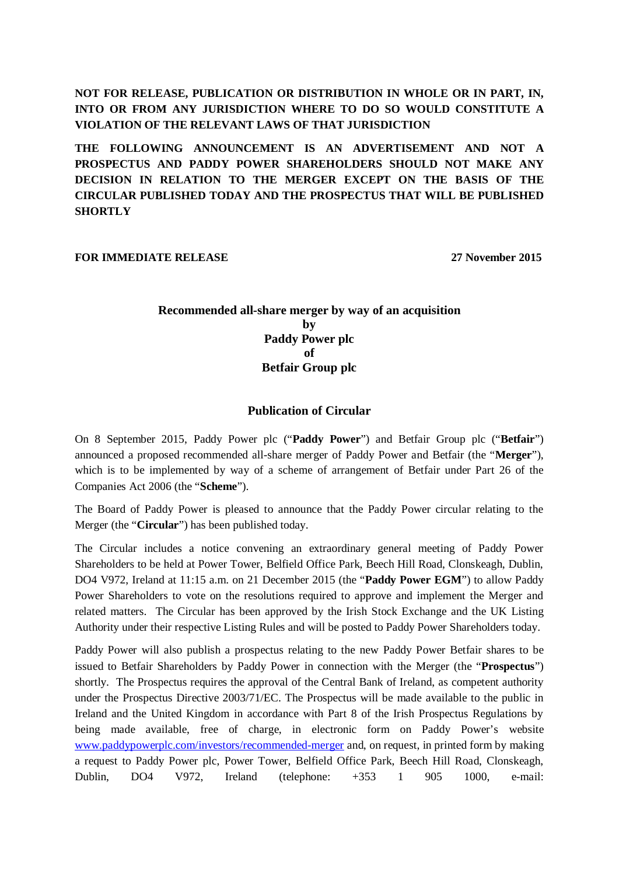**NOT FOR RELEASE, PUBLICATION OR DISTRIBUTION IN WHOLE OR IN PART, IN, INTO OR FROM ANY JURISDICTION WHERE TO DO SO WOULD CONSTITUTE A VIOLATION OF THE RELEVANT LAWS OF THAT JURISDICTION**

**THE FOLLOWING ANNOUNCEMENT IS AN ADVERTISEMENT AND NOT A PROSPECTUS AND PADDY POWER SHAREHOLDERS SHOULD NOT MAKE ANY DECISION IN RELATION TO THE MERGER EXCEPT ON THE BASIS OF THE CIRCULAR PUBLISHED TODAY AND THE PROSPECTUS THAT WILL BE PUBLISHED SHORTLY**

**FOR IMMEDIATE RELEASE** 27 November 2015

# **Recommended all-share merger by way of an acquisition by Paddy Power plc of Betfair Group plc**

# **Publication of Circular**

On 8 September 2015, Paddy Power plc ("**Paddy Power**") and Betfair Group plc ("**Betfair**") announced a proposed recommended all-share merger of Paddy Power and Betfair (the "**Merger**"), which is to be implemented by way of a scheme of arrangement of Betfair under Part 26 of the Companies Act 2006 (the "**Scheme**").

The Board of Paddy Power is pleased to announce that the Paddy Power circular relating to the Merger (the "**Circular**") has been published today.

The Circular includes a notice convening an extraordinary general meeting of Paddy Power Shareholders to be held at Power Tower, Belfield Office Park, Beech Hill Road, Clonskeagh, Dublin, DO4 V972, Ireland at 11:15 a.m. on 21 December 2015 (the "**Paddy Power EGM**") to allow Paddy Power Shareholders to vote on the resolutions required to approve and implement the Merger and related matters. The Circular has been approved by the Irish Stock Exchange and the UK Listing Authority under their respective Listing Rules and will be posted to Paddy Power Shareholders today.

Paddy Power will also publish a prospectus relating to the new Paddy Power Betfair shares to be issued to Betfair Shareholders by Paddy Power in connection with the Merger (the "**Prospectus**") shortly. The Prospectus requires the approval of the Central Bank of Ireland, as competent authority under the Prospectus Directive 2003/71/EC. The Prospectus will be made available to the public in Ireland and the United Kingdom in accordance with Part 8 of the Irish Prospectus Regulations by being made available, free of charge, in electronic form on Paddy Power's website www.paddypowerplc.com/investors/recommended-merger and, on request, in printed form by making a request to Paddy Power plc, Power Tower, Belfield Office Park, Beech Hill Road, Clonskeagh, Dublin, DO4 V972, Ireland (telephone: +353 1 905 1000, e-mail: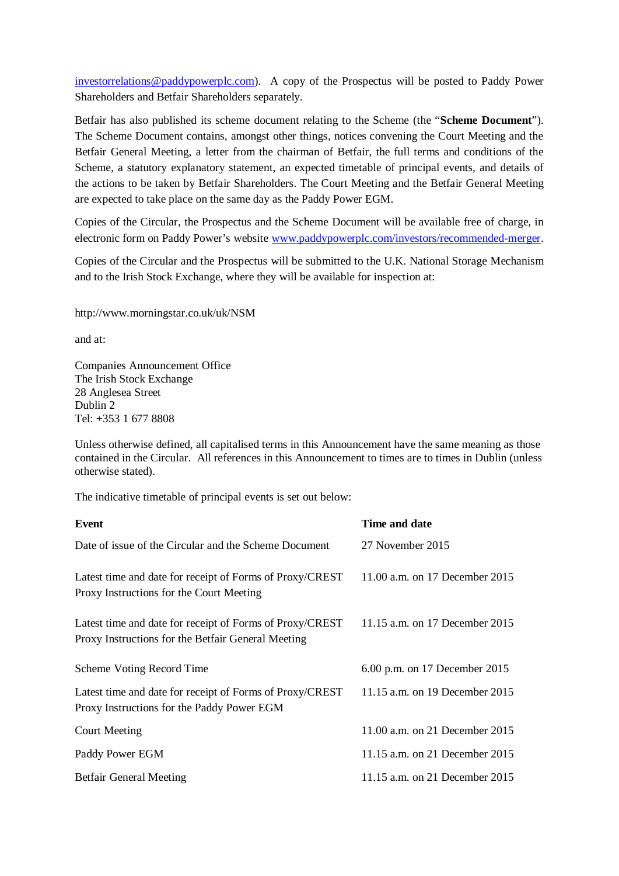investorrelations@paddypowerplc.com). A copy of the Prospectus will be posted to Paddy Power Shareholders and Betfair Shareholders separately.

Betfair has also published its scheme document relating to the Scheme (the "**Scheme Document**"). The Scheme Document contains, amongst other things, notices convening the Court Meeting and the Betfair General Meeting, a letter from the chairman of Betfair, the full terms and conditions of the Scheme, a statutory explanatory statement, an expected timetable of principal events, and details of the actions to be taken by Betfair Shareholders. The Court Meeting and the Betfair General Meeting are expected to take place on the same day as the Paddy Power EGM.

Copies of the Circular, the Prospectus and the Scheme Document will be available free of charge, in electronic form on Paddy Power's website www.paddypowerplc.com/investors/recommended-merger.

Copies of the Circular and the Prospectus will be submitted to the U.K. National Storage Mechanism and to the Irish Stock Exchange, where they will be available for inspection at:

http://www.morningstar.co.uk/uk/NSM

and at:

Companies Announcement Office The Irish Stock Exchange 28 Anglesea Street Dublin 2  $Tel· + 353 1 677 8808$ 

Unless otherwise defined, all capitalised terms in this Announcement have the same meaning as those contained in the Circular. All references in this Announcement to times are to times in Dublin (unless otherwise stated).

The indicative timetable of principal events is set out below:

| Event                                                                                                          | Time and date                  |  |
|----------------------------------------------------------------------------------------------------------------|--------------------------------|--|
| Date of issue of the Circular and the Scheme Document                                                          | 27 November 2015               |  |
| Latest time and date for receipt of Forms of Proxy/CREST<br>Proxy Instructions for the Court Meeting           | 11.00 a.m. on 17 December 2015 |  |
| Latest time and date for receipt of Forms of Proxy/CREST<br>Proxy Instructions for the Betfair General Meeting | 11.15 a.m. on 17 December 2015 |  |
| Scheme Voting Record Time                                                                                      | 6.00 p.m. on 17 December 2015  |  |
| Latest time and date for receipt of Forms of Proxy/CREST<br>Proxy Instructions for the Paddy Power EGM         | 11.15 a.m. on 19 December 2015 |  |
| <b>Court Meeting</b>                                                                                           | 11.00 a.m. on 21 December 2015 |  |
| Paddy Power EGM                                                                                                | 11.15 a.m. on 21 December 2015 |  |
| <b>Betfair General Meeting</b>                                                                                 | 11.15 a.m. on 21 December 2015 |  |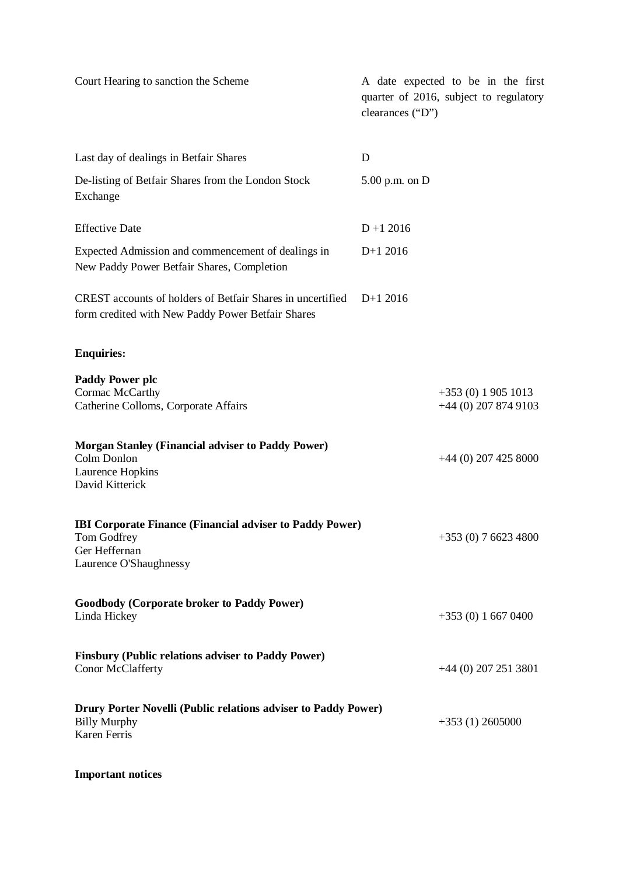| Court Hearing to sanction the Scheme                                                                                      | A date expected to be in the first<br>quarter of 2016, subject to regulatory<br>clearances ("D") |                                             |
|---------------------------------------------------------------------------------------------------------------------------|--------------------------------------------------------------------------------------------------|---------------------------------------------|
| Last day of dealings in Betfair Shares                                                                                    | D                                                                                                |                                             |
| De-listing of Betfair Shares from the London Stock<br>Exchange                                                            | $5.00$ p.m. on D                                                                                 |                                             |
| <b>Effective Date</b>                                                                                                     | $D + 12016$                                                                                      |                                             |
| Expected Admission and commencement of dealings in<br>New Paddy Power Betfair Shares, Completion                          | $D+1$ 2016                                                                                       |                                             |
| <b>CREST</b> accounts of holders of Betfair Shares in uncertified<br>form credited with New Paddy Power Betfair Shares    | $D+1$ 2016                                                                                       |                                             |
| <b>Enquiries:</b>                                                                                                         |                                                                                                  |                                             |
| <b>Paddy Power plc</b><br>Cormac McCarthy<br>Catherine Colloms, Corporate Affairs                                         |                                                                                                  | $+353(0)19051013$<br>$+44$ (0) 207 874 9103 |
| <b>Morgan Stanley (Financial adviser to Paddy Power)</b><br>Colm Donlon<br>Laurence Hopkins<br>David Kitterick            |                                                                                                  | $+44$ (0) 207 425 8000                      |
| <b>IBI Corporate Finance (Financial adviser to Paddy Power)</b><br>Tom Godfrey<br>Ger Heffernan<br>Laurence O'Shaughnessy |                                                                                                  | $+353(0)$ 7 6623 4800                       |
| <b>Goodbody (Corporate broker to Paddy Power)</b><br>Linda Hickey                                                         |                                                                                                  | $+353(0)16670400$                           |
| <b>Finsbury (Public relations adviser to Paddy Power)</b><br>Conor McClafferty                                            |                                                                                                  | $+44$ (0) 207 251 3801                      |
| Drury Porter Novelli (Public relations adviser to Paddy Power)<br><b>Billy Murphy</b><br>Karen Ferris                     |                                                                                                  | $+353(1)$ 2605000                           |
|                                                                                                                           |                                                                                                  |                                             |

# **Important notices**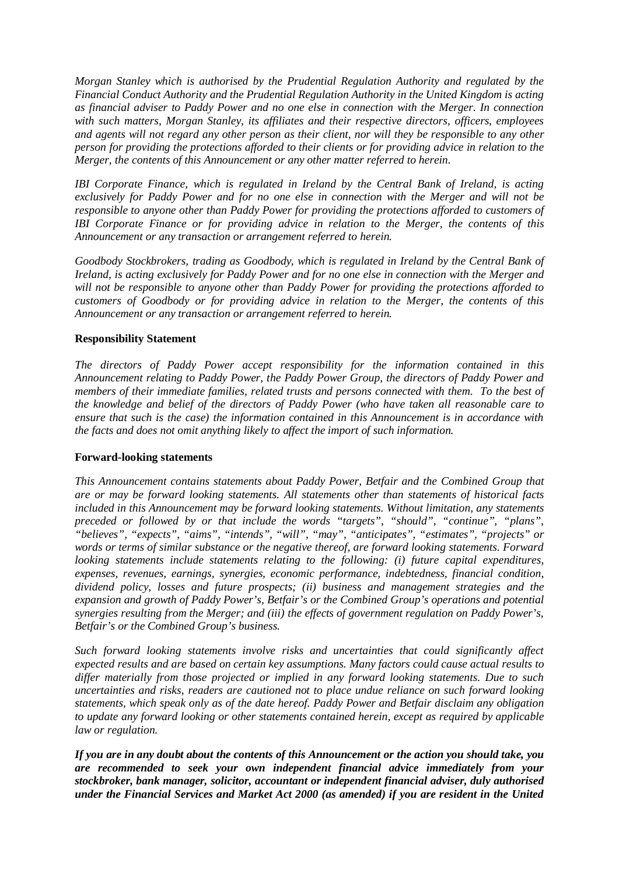*Morgan Stanley which is authorised by the Prudential Regulation Authority and regulated by the Financial Conduct Authority and the Prudential Regulation Authority in the United Kingdom is acting as financial adviser to Paddy Power and no one else in connection with the Merger. In connection with such matters, Morgan Stanley, its affiliates and their respective directors, officers, employees and agents will not regard any other person as their client, nor will they be responsible to any other person for providing the protections afforded to their clients or for providing advice in relation to the Merger, the contents of this Announcement or any other matter referred to herein.*

*IBI Corporate Finance, which is regulated in Ireland by the Central Bank of Ireland, is acting exclusively for Paddy Power and for no one else in connection with the Merger and will not be responsible to anyone other than Paddy Power for providing the protections afforded to customers of IBI Corporate Finance or for providing advice in relation to the Merger, the contents of this Announcement or any transaction or arrangement referred to herein.*

*Goodbody Stockbrokers, trading as Goodbody, which is regulated in Ireland by the Central Bank of Ireland, is acting exclusively for Paddy Power and for no one else in connection with the Merger and will not be responsible to anyone other than Paddy Power for providing the protections afforded to customers of Goodbody or for providing advice in relation to the Merger, the contents of this Announcement or any transaction or arrangement referred to herein.*

## **Responsibility Statement**

*The directors of Paddy Power accept responsibility for the information contained in this Announcement relating to Paddy Power, the Paddy Power Group, the directors of Paddy Power and members of their immediate families, related trusts and persons connected with them. To the best of the knowledge and belief of the directors of Paddy Power (who have taken all reasonable care to ensure that such is the case) the information contained in this Announcement is in accordance with the facts and does not omit anything likely to affect the import of such information.*

#### **Forward-looking statements**

*This Announcement contains statements about Paddy Power, Betfair and the Combined Group that are or may be forward looking statements. All statements other than statements of historical facts included in this Announcement may be forward looking statements. Without limitation, any statements preceded or followed by or that include the words "targets", "should", "continue", "plans", "believes", "expects", "aims", "intends", "will", "may", "anticipates", "estimates", "projects" or words or terms of similar substance or the negative thereof, are forward looking statements. Forward looking statements include statements relating to the following: (i) future capital expenditures, expenses, revenues, earnings, synergies, economic performance, indebtedness, financial condition, dividend policy, losses and future prospects; (ii) business and management strategies and the expansion and growth of Paddy Power's, Betfair's or the Combined Group's operations and potential synergies resulting from the Merger; and (iii) the effects of government regulation on Paddy Power's, Betfair's or the Combined Group's business.*

*Such forward looking statements involve risks and uncertainties that could significantly affect expected results and are based on certain key assumptions. Many factors could cause actual results to differ materially from those projected or implied in any forward looking statements. Due to such uncertainties and risks, readers are cautioned not to place undue reliance on such forward looking statements, which speak only as of the date hereof. Paddy Power and Betfair disclaim any obligation to update any forward looking or other statements contained herein, except as required by applicable law or regulation.*

*If you are in any doubt about the contents of this Announcement or the action you should take, you are recommended to seek your own independent financial advice immediately from your stockbroker, bank manager, solicitor, accountant or independent financial adviser, duly authorised under the Financial Services and Market Act 2000 (as amended) if you are resident in the United*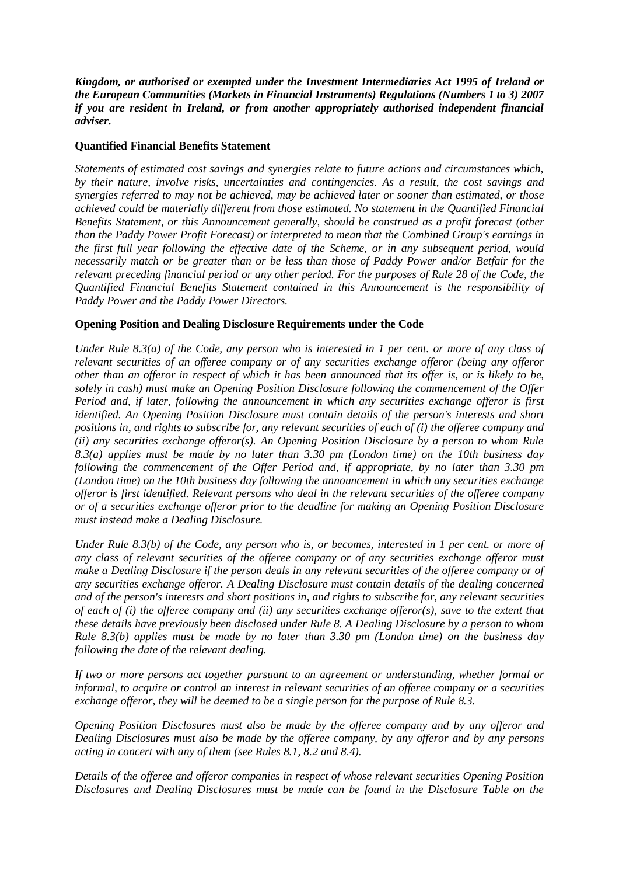*Kingdom, or authorised or exempted under the Investment Intermediaries Act 1995 of Ireland or the European Communities (Markets in Financial Instruments) Regulations (Numbers 1 to 3) 2007 if you are resident in Ireland, or from another appropriately authorised independent financial adviser.*

#### **Quantified Financial Benefits Statement**

*Statements of estimated cost savings and synergies relate to future actions and circumstances which, by their nature, involve risks, uncertainties and contingencies. As a result, the cost savings and synergies referred to may not be achieved, may be achieved later or sooner than estimated, or those achieved could be materially different from those estimated. No statement in the Quantified Financial Benefits Statement, or this Announcement generally, should be construed as a profit forecast (other than the Paddy Power Profit Forecast) or interpreted to mean that the Combined Group's earnings in the first full year following the effective date of the Scheme, or in any subsequent period, would necessarily match or be greater than or be less than those of Paddy Power and/or Betfair for the relevant preceding financial period or any other period. For the purposes of Rule 28 of the Code, the Quantified Financial Benefits Statement contained in this Announcement is the responsibility of Paddy Power and the Paddy Power Directors.*

## **Opening Position and Dealing Disclosure Requirements under the Code**

*Under Rule 8.3(a) of the Code, any person who is interested in 1 per cent. or more of any class of relevant securities of an offeree company or of any securities exchange offeror (being any offeror other than an offeror in respect of which it has been announced that its offer is, or is likely to be, solely in cash) must make an Opening Position Disclosure following the commencement of the Offer Period and, if later, following the announcement in which any securities exchange offeror is first identified. An Opening Position Disclosure must contain details of the person's interests and short positions in, and rights to subscribe for, any relevant securities of each of (i) the offeree company and (ii) any securities exchange offeror(s). An Opening Position Disclosure by a person to whom Rule 8.3(a) applies must be made by no later than 3.30 pm (London time) on the 10th business day following the commencement of the Offer Period and, if appropriate, by no later than 3.30 pm (London time) on the 10th business day following the announcement in which any securities exchange offeror is first identified. Relevant persons who deal in the relevant securities of the offeree company or of a securities exchange offeror prior to the deadline for making an Opening Position Disclosure must instead make a Dealing Disclosure.*

*Under Rule 8.3(b) of the Code, any person who is, or becomes, interested in 1 per cent. or more of any class of relevant securities of the offeree company or of any securities exchange offeror must make a Dealing Disclosure if the person deals in any relevant securities of the offeree company or of any securities exchange offeror. A Dealing Disclosure must contain details of the dealing concerned and of the person's interests and short positions in, and rights to subscribe for, any relevant securities of each of (i) the offeree company and (ii) any securities exchange offeror(s), save to the extent that these details have previously been disclosed under Rule 8. A Dealing Disclosure by a person to whom Rule 8.3(b) applies must be made by no later than 3.30 pm (London time) on the business day following the date of the relevant dealing.*

*If two or more persons act together pursuant to an agreement or understanding, whether formal or informal, to acquire or control an interest in relevant securities of an offeree company or a securities exchange offeror, they will be deemed to be a single person for the purpose of Rule 8.3.*

*Opening Position Disclosures must also be made by the offeree company and by any offeror and Dealing Disclosures must also be made by the offeree company, by any offeror and by any persons acting in concert with any of them (see Rules 8.1, 8.2 and 8.4).*

*Details of the offeree and offeror companies in respect of whose relevant securities Opening Position Disclosures and Dealing Disclosures must be made can be found in the Disclosure Table on the*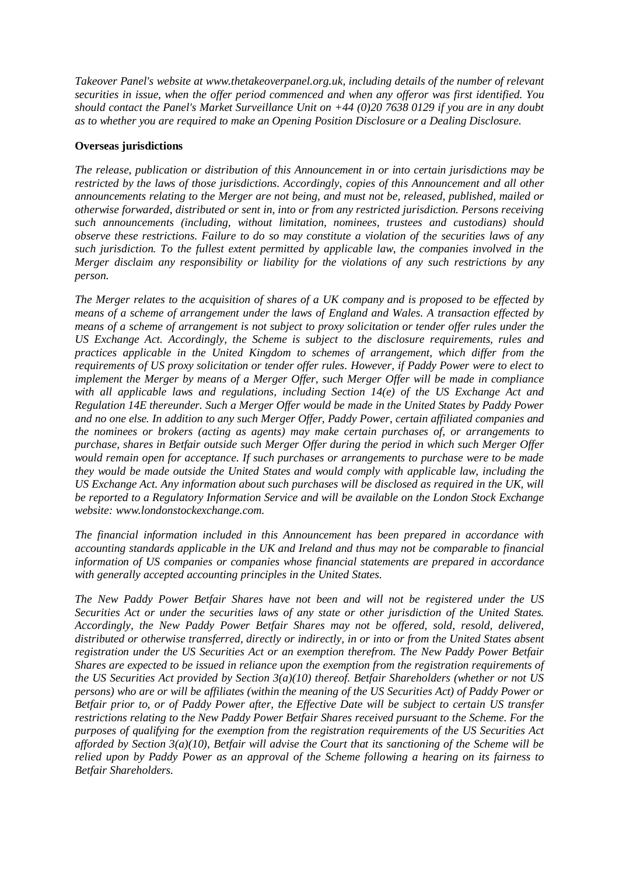*Takeover Panel's website at www.thetakeoverpanel.org.uk, including details of the number of relevant securities in issue, when the offer period commenced and when any offeror was first identified. You should contact the Panel's Market Surveillance Unit on +44 (0)20 7638 0129 if you are in any doubt as to whether you are required to make an Opening Position Disclosure or a Dealing Disclosure.*

## **Overseas jurisdictions**

*The release, publication or distribution of this Announcement in or into certain jurisdictions may be restricted by the laws of those jurisdictions. Accordingly, copies of this Announcement and all other announcements relating to the Merger are not being, and must not be, released, published, mailed or otherwise forwarded, distributed or sent in, into or from any restricted jurisdiction. Persons receiving such announcements (including, without limitation, nominees, trustees and custodians) should observe these restrictions. Failure to do so may constitute a violation of the securities laws of any such jurisdiction. To the fullest extent permitted by applicable law, the companies involved in the Merger disclaim any responsibility or liability for the violations of any such restrictions by any person.*

*The Merger relates to the acquisition of shares of a UK company and is proposed to be effected by means of a scheme of arrangement under the laws of England and Wales. A transaction effected by means of a scheme of arrangement is not subject to proxy solicitation or tender offer rules under the US Exchange Act. Accordingly, the Scheme is subject to the disclosure requirements, rules and practices applicable in the United Kingdom to schemes of arrangement, which differ from the requirements of US proxy solicitation or tender offer rules. However, if Paddy Power were to elect to implement the Merger by means of a Merger Offer, such Merger Offer will be made in compliance with all applicable laws and regulations, including Section 14(e) of the US Exchange Act and Regulation 14E thereunder. Such a Merger Offer would be made in the United States by Paddy Power and no one else. In addition to any such Merger Offer, Paddy Power, certain affiliated companies and the nominees or brokers (acting as agents) may make certain purchases of, or arrangements to purchase, shares in Betfair outside such Merger Offer during the period in which such Merger Offer would remain open for acceptance. If such purchases or arrangements to purchase were to be made they would be made outside the United States and would comply with applicable law, including the US Exchange Act. Any information about such purchases will be disclosed as required in the UK, will be reported to a Regulatory Information Service and will be available on the London Stock Exchange website: www.londonstockexchange.com.*

*The financial information included in this Announcement has been prepared in accordance with accounting standards applicable in the UK and Ireland and thus may not be comparable to financial information of US companies or companies whose financial statements are prepared in accordance with generally accepted accounting principles in the United States.*

*The New Paddy Power Betfair Shares have not been and will not be registered under the US Securities Act or under the securities laws of any state or other jurisdiction of the United States. Accordingly, the New Paddy Power Betfair Shares may not be offered, sold, resold, delivered, distributed or otherwise transferred, directly or indirectly, in or into or from the United States absent registration under the US Securities Act or an exemption therefrom. The New Paddy Power Betfair Shares are expected to be issued in reliance upon the exemption from the registration requirements of the US Securities Act provided by Section 3(a)(10) thereof. Betfair Shareholders (whether or not US persons) who are or will be affiliates (within the meaning of the US Securities Act) of Paddy Power or Betfair prior to, or of Paddy Power after, the Effective Date will be subject to certain US transfer restrictions relating to the New Paddy Power Betfair Shares received pursuant to the Scheme. For the purposes of qualifying for the exemption from the registration requirements of the US Securities Act afforded by Section 3(a)(10), Betfair will advise the Court that its sanctioning of the Scheme will be relied upon by Paddy Power as an approval of the Scheme following a hearing on its fairness to Betfair Shareholders.*